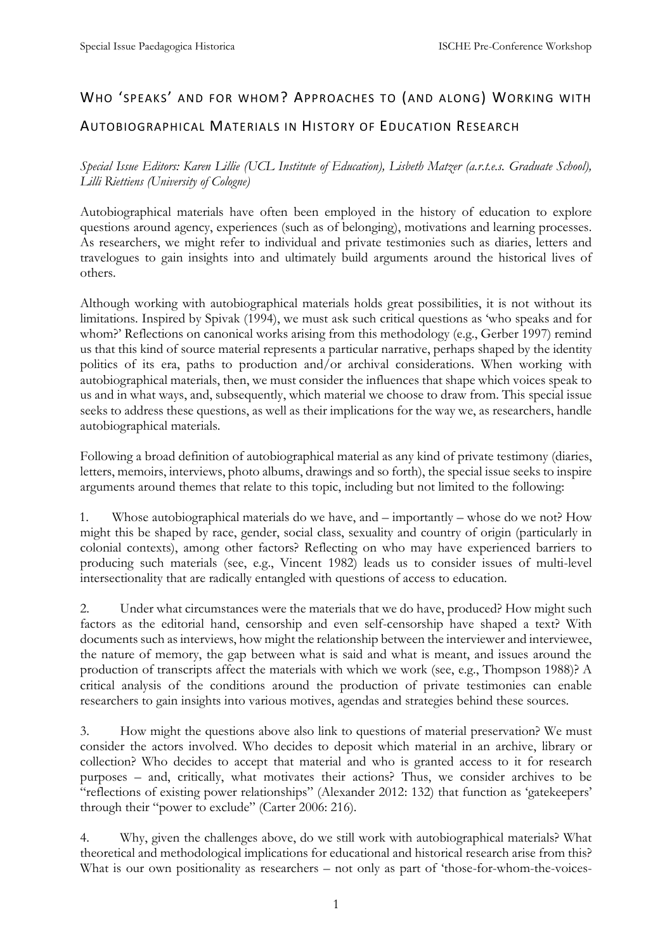## WHO 'SPEAKS' AND FOR WHOM? APPROACHES TO (AND ALONG) WORKING WITH

## AUTOBIOGRAPHICAL MATERIALS IN HISTORY OF EDUCATION RESEARCH

*Special Issue Editors: Karen Lillie (UCL Institute of Education), Lisbeth Matzer (a.r.t.e.s. Graduate School), Lilli Riettiens (University of Cologne)*

Autobiographical materials have often been employed in the history of education to explore questions around agency, experiences (such as of belonging), motivations and learning processes. As researchers, we might refer to individual and private testimonies such as diaries, letters and travelogues to gain insights into and ultimately build arguments around the historical lives of others.

Although working with autobiographical materials holds great possibilities, it is not without its limitations. Inspired by Spivak (1994), we must ask such critical questions as 'who speaks and for whom?' Reflections on canonical works arising from this methodology (e.g., Gerber 1997) remind us that this kind of source material represents a particular narrative, perhaps shaped by the identity politics of its era, paths to production and/or archival considerations. When working with autobiographical materials, then, we must consider the influences that shape which voices speak to us and in what ways, and, subsequently, which material we choose to draw from. This special issue seeks to address these questions, as well as their implications for the way we, as researchers, handle autobiographical materials.

Following a broad definition of autobiographical material as any kind of private testimony (diaries, letters, memoirs, interviews, photo albums, drawings and so forth), the special issue seeks to inspire arguments around themes that relate to this topic, including but not limited to the following:

1. Whose autobiographical materials do we have, and – importantly – whose do we not? How might this be shaped by race, gender, social class, sexuality and country of origin (particularly in colonial contexts), among other factors? Reflecting on who may have experienced barriers to producing such materials (see, e.g., Vincent 1982) leads us to consider issues of multi-level intersectionality that are radically entangled with questions of access to education.

2. Under what circumstances were the materials that we do have, produced? How might such factors as the editorial hand, censorship and even self-censorship have shaped a text? With documents such as interviews, how might the relationship between the interviewer and interviewee, the nature of memory, the gap between what is said and what is meant, and issues around the production of transcripts affect the materials with which we work (see, e.g., Thompson 1988)? A critical analysis of the conditions around the production of private testimonies can enable researchers to gain insights into various motives, agendas and strategies behind these sources.

3. How might the questions above also link to questions of material preservation? We must consider the actors involved. Who decides to deposit which material in an archive, library or collection? Who decides to accept that material and who is granted access to it for research purposes – and, critically, what motivates their actions? Thus, we consider archives to be "reflections of existing power relationships" (Alexander 2012: 132) that function as 'gatekeepers' through their "power to exclude" (Carter 2006: 216).

4. Why, given the challenges above, do we still work with autobiographical materials? What theoretical and methodological implications for educational and historical research arise from this? What is our own positionality as researchers – not only as part of 'those-for-whom-the-voices